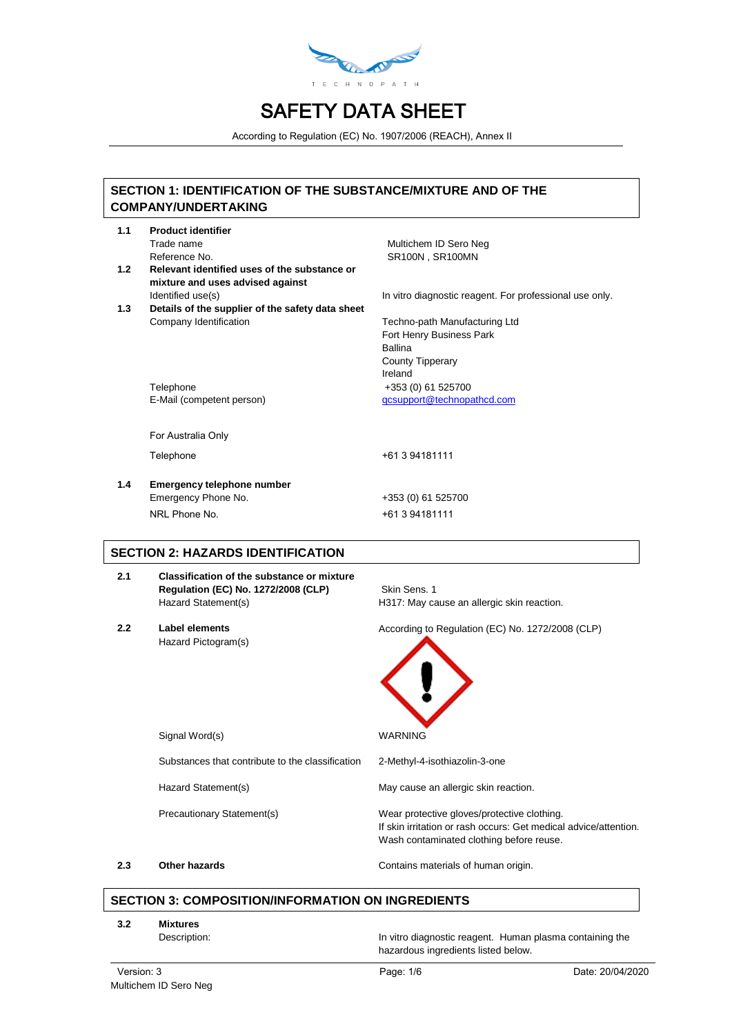

According to Regulation (EC) No. 1907/2006 (REACH), Annex II

# **SECTION 1: IDENTIFICATION OF THE SUBSTANCE/MIXTURE AND OF THE COMPANY/UNDERTAKING**

| 1.1 | <b>Product identifier</b>                        |                                                         |
|-----|--------------------------------------------------|---------------------------------------------------------|
|     | Trade name                                       | Multichem ID Sero Neg                                   |
|     | Reference No.                                    | <b>SR100N, SR100MN</b>                                  |
| 1.2 | Relevant identified uses of the substance or     |                                                         |
|     | mixture and uses advised against                 |                                                         |
|     | Identified use(s)                                | In vitro diagnostic reagent. For professional use only. |
| 1.3 | Details of the supplier of the safety data sheet |                                                         |
|     | Company Identification                           | Techno-path Manufacturing Ltd                           |
|     |                                                  | Fort Henry Business Park                                |
|     |                                                  | <b>Ballina</b>                                          |
|     |                                                  | <b>County Tipperary</b><br>Ireland                      |
|     | Telephone                                        | +353 (0) 61 525700                                      |
|     | E-Mail (competent person)                        | gcsupport@technopathcd.com                              |
|     |                                                  |                                                         |
|     | For Australia Only                               |                                                         |
|     | Telephone                                        | +61 3 94181111                                          |
| 1.4 | <b>Emergency telephone number</b>                |                                                         |
|     | Emergency Phone No.                              | +353 (0) 61 525700                                      |
|     | NRI Phone No                                     | +61 3 94181111                                          |
|     |                                                  |                                                         |
|     | <b>SECTION 2: HAZARDS IDENTIFICATION</b>         |                                                         |
| 2.1 | Classification of the substance or mixture       |                                                         |
|     | Regulation (EC) No. 1272/2008 (CLP)              | Skin Sens. 1                                            |
|     | Hazard Statement(s)                              | H317: May cause an allergic skin reaction.              |
| 2.2 | <b>Label elements</b>                            | According to Regulation (EC) No. 1272/2008 (CLP)        |
|     | Hazard Pictogram(s)                              |                                                         |
|     |                                                  |                                                         |

Signal Word(s) WARNING Substances that contribute to the classification 2-Methyl-4-isothiazolin-3-one Hazard Statement(s) May cause an allergic skin reaction. Precautionary Statement(s) Wear protective gloves/protective clothing. If skin irritation or rash occurs: Get medical advice/attention. Wash contaminated clothing before reuse.

**2.3 Other hazards Contains materials of human origin.** 

# **SECTION 3: COMPOSITION/INFORMATION ON INGREDIENTS**

- **3.2 Mixtures**
	-

Description: **In vitro diagnostic reagent.** Human plasma containing the hazardous ingredients listed below.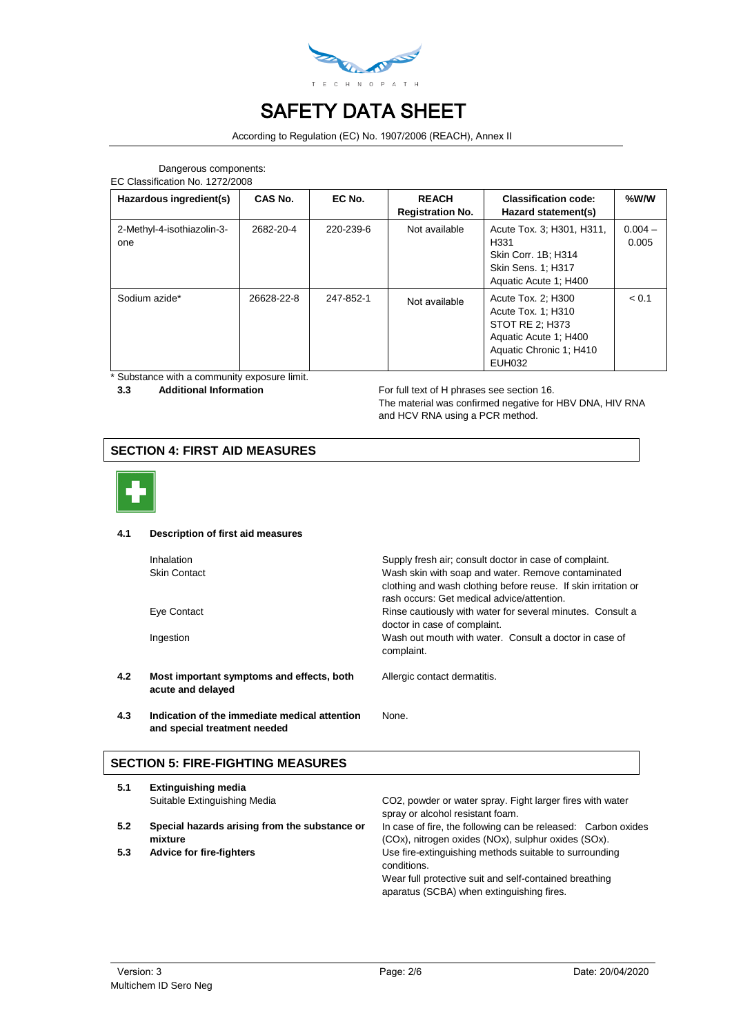

According to Regulation (EC) No. 1907/2006 (REACH), Annex II

# Dangerous components:

EC Classification No. 1272/2008

| Hazardous ingredient(s)           | <b>CAS No.</b> | EC No.    | <b>REACH</b><br><b>Registration No.</b> | <b>Classification code:</b><br>Hazard statement(s)                                                                               | %W/W               |
|-----------------------------------|----------------|-----------|-----------------------------------------|----------------------------------------------------------------------------------------------------------------------------------|--------------------|
| 2-Methyl-4-isothiazolin-3-<br>one | 2682-20-4      | 220-239-6 | Not available                           | Acute Tox. 3; H301, H311,<br>H <sub>331</sub><br>Skin Corr. 1B; H314<br>Skin Sens. 1: H317<br>Aquatic Acute 1; H400              | $0.004 -$<br>0.005 |
| Sodium azide*                     | 26628-22-8     | 247-852-1 | Not available                           | Acute Tox. 2: H300<br>Acute Tox. 1: H310<br>STOT RE 2: H373<br>Aquatic Acute 1; H400<br>Aquatic Chronic 1; H410<br><b>EUH032</b> | < 0.1              |

\* Substance with a community exposure limit.

**3.3** Additional Information **Additional Information For full text of H** phrases see section 16.

The material was confirmed negative for HBV DNA, HIV RNA and HCV RNA using a PCR method.

# **SECTION 4: FIRST AID MEASURES**



#### **4.1 Description of first aid measures**

|     | <b>Inhalation</b><br><b>Skin Contact</b>                       | Supply fresh air; consult doctor in case of complaint.<br>Wash skin with soap and water. Remove contaminated<br>clothing and wash clothing before reuse. If skin irritation or<br>rash occurs: Get medical advice/attention. |
|-----|----------------------------------------------------------------|------------------------------------------------------------------------------------------------------------------------------------------------------------------------------------------------------------------------------|
|     | Eye Contact                                                    | Rinse cautiously with water for several minutes. Consult a<br>doctor in case of complaint.                                                                                                                                   |
|     | Ingestion                                                      | Wash out mouth with water. Consult a doctor in case of<br>complaint.                                                                                                                                                         |
| 4.2 | Most important symptoms and effects, both<br>acute and delayed | Allergic contact dermatitis.                                                                                                                                                                                                 |
| 4.3 | Indication of the immediate medical attention                  | None.                                                                                                                                                                                                                        |

# **SECTION 5: FIRE-FIGHTING MEASURES**

**and special treatment needed**

| Suitable Extinguishing Media                             | CO2, powder or water spray. Fight larger fires with water<br>spray or alcohol resistant foam.                                                                                |
|----------------------------------------------------------|------------------------------------------------------------------------------------------------------------------------------------------------------------------------------|
|                                                          |                                                                                                                                                                              |
| Special hazards arising from the substance or<br>mixture | In case of fire, the following can be released: Carbon oxides<br>(COx), nitrogen oxides (NOx), sulphur oxides (SOx).                                                         |
| Advice for fire-fighters                                 | Use fire-extinguishing methods suitable to surrounding<br>conditions.<br>Wear full protective suit and self-contained breathing<br>aparatus (SCBA) when extinguishing fires. |
|                                                          |                                                                                                                                                                              |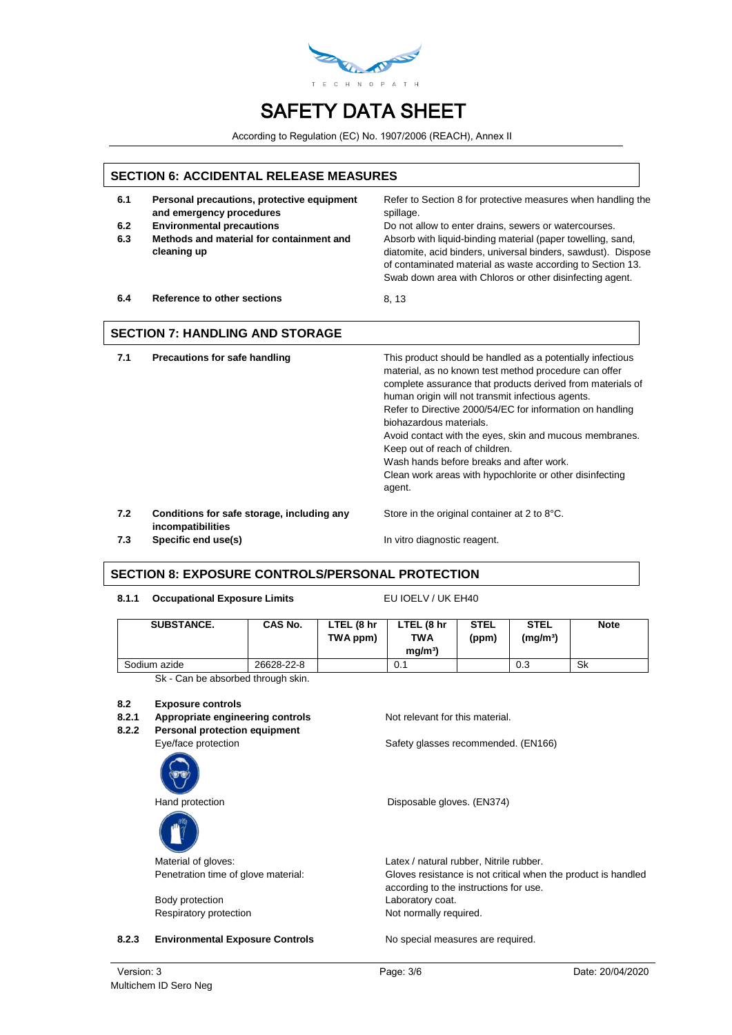

According to Regulation (EC) No. 1907/2006 (REACH), Annex II

# **SECTION 6: ACCIDENTAL RELEASE MEASURES**

- **6.1 Personal precautions, protective equipment and emergency procedures**
- 
- **6.3 Methods and material for containment and cleaning up**

Refer to Section 8 for protective measures when handling the spillage. **6.2 Environmental precautions** Do not allow to enter drains, sewers or watercourses.

Absorb with liquid-binding material (paper towelling, sand, diatomite, acid binders, universal binders, sawdust). Dispose of contaminated material as waste according to Section 13. Swab down area with Chloros or other disinfecting agent.

**6.4 Reference to other sections** 8, 13

### **SECTION 7: HANDLING AND STORAGE**

**7.1 Precautions for safe handling** This product should be handled as a potentially infectious material, as no known test method procedure can offer complete assurance that products derived from materials of human origin will not transmit infectious agents. Refer to Directive 2000/54/EC for information on handling biohazardous materials. Avoid contact with the eyes, skin and mucous membranes. Keep out of reach of children. Wash hands before breaks and after work.

Clean work areas with hypochlorite or other disinfecting agent.

**7.2 Conditions for safe storage, including any incompatibilities**

Store in the original container at 2 to 8°C.

**7.3 Specific end use(s) In vitro diagnostic reagent.** 

# **SECTION 8: EXPOSURE CONTROLS/PERSONAL PROTECTION**

8.1.1 Occupational Exposure Limits **EU IOELV / UK EH40** 

| <b>SUBSTANCE.</b> | <b>CAS No.</b> | LTEL (8 hr<br>TWA ppm) | LTEL (8 hr<br><b>TWA</b><br>mq/m <sup>3</sup> | <b>STEL</b><br>(ppm) | <b>STEL</b><br>(mq/m <sup>3</sup> ) | <b>Note</b> |
|-------------------|----------------|------------------------|-----------------------------------------------|----------------------|-------------------------------------|-------------|
| Sodium azide      | 26628-22-8     |                        | 0.1                                           |                      | 0.3                                 | Sk          |

Sk - Can be absorbed through skin.

#### **8.2 Exposure controls**

### **8.2.1 Appropriate engineering controls** Not relevant for this material.

**8.2.2 Personal protection equipment**





Body protection **Laboratory coat.** 

**8.2.3 Environmental Exposure Controls** No special measures are required.

Eye/face protection Safety glasses recommended. (EN166)

Hand protection **Disposable gloves.** (EN374)

Material of gloves: Material of gloves: Material of gloves: Latex / natural rubber, Nitrile rubber. Penetration time of glove material: Gloves resistance is not critical when the product is handled according to the instructions for use. Respiratory protection Not normally required.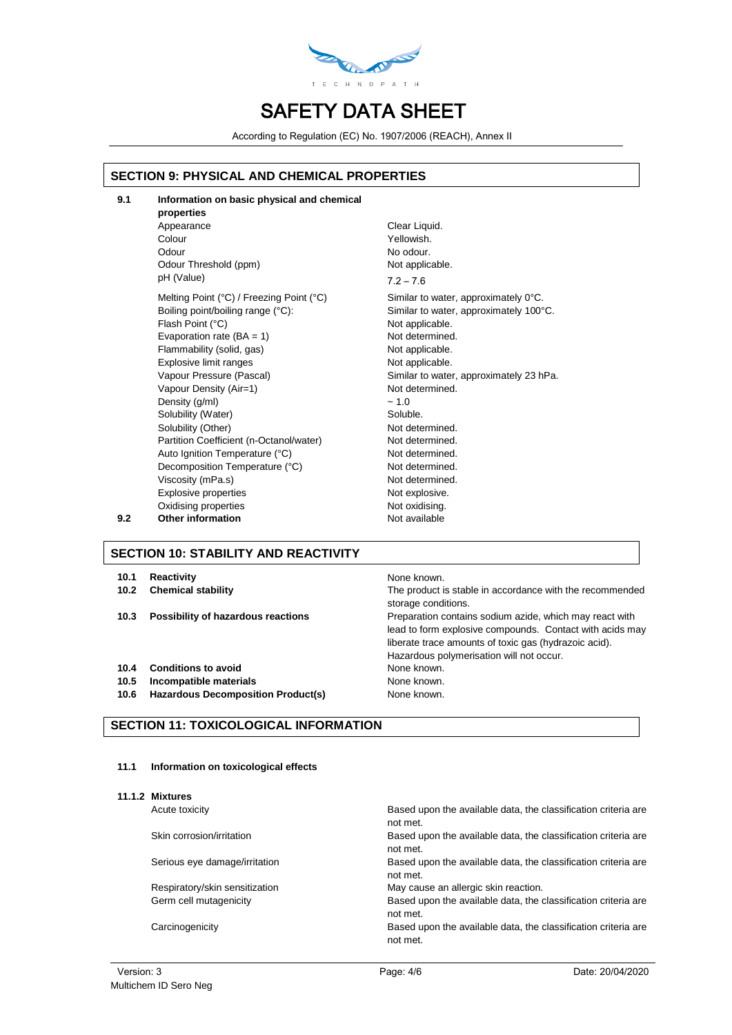

According to Regulation (EC) No. 1907/2006 (REACH), Annex II

# **SECTION 9: PHYSICAL AND CHEMICAL PROPERTIES**

| 9.1 | Information on basic physical and chemical<br>properties |                |
|-----|----------------------------------------------------------|----------------|
|     | Appearance                                               | Clear Liquid.  |
|     | Colour                                                   | Yellowish.     |
|     | Odour                                                    | No odour.      |
|     | Odour Threshold (ppm)                                    | Not applicable |
|     | pH (Value)                                               | $7.2 - 7.6$    |
|     | Melting Point (°C) / Freezing Point (°C)                 | Similar to wat |
|     | Boiling point/boiling range (°C):                        | Similar to wat |
|     | Flash Point (°C)                                         | Not applicable |
|     | Evaporation rate (BA = 1)                                | Not determine  |
|     | Flammability (solid, gas)                                | Not applicable |
|     | Explosive limit ranges                                   | Not applicable |
|     | Vapour Pressure (Pascal)                                 | Similar to wat |
|     | Vapour Density (Air=1)                                   | Not determine  |
|     | Density (g/ml)                                           | ~1.0           |
|     | Solubility (Water)                                       | Soluble.       |
|     | Solubility (Other)                                       | Not determine  |
|     | Partition Coefficient (n-Octanol/water)                  | Not determine  |
|     | Auto Ignition Temperature (°C)                           | Not determine  |
|     | Decomposition Temperature (°C)                           | Not determine  |
|     | Viscosity (mPa.s)                                        | Not determine  |
|     | <b>Explosive properties</b>                              | Not explosive  |
|     | Oxidising properties                                     | Not oxidising. |
| 9.2 | <b>Other information</b>                                 | Not available  |

# Yellowish. No odour. Not applicable.  $7.2 - 7.6$ Similar to water, approximately 0°C. Similar to water, approximately 100°C. Not applicable. Not determined. Not applicable. Not applicable. Similar to water, approximately 23 hPa. Not determined. Soluble. Not determined. Not determined Not determined Not determined. Not determined. Not explosive.

# **SECTION 10: STABILITY AND REACTIVITY**

#### **10.1 Reactivity 10.1 Reactivity**

- 
- 
- **10.4 Conditions to avoid** None known.
- **10.5 Incompatible materials None known.** None known.
- **10.6 Hazardous Decomposition Product(s)** None known.

### **SECTION 11: TOXICOLOGICAL INFORMATION**

#### **11.1 Information on toxicological effects**

**11.1.2 Mixtures**

Acute toxicity

Skin corrosion/irritation

Serious eye damage/irritation

Respiratory/skin sensitization Germ cell mutagenicity

Carcinogenicity

**10.2 Chemical stability** The product is stable in accordance with the recommended storage conditions.

**10.3 Possibility of hazardous reactions** Preparation contains sodium azide, which may react with lead to form explosive compounds. Contact with acids may liberate trace amounts of toxic gas (hydrazoic acid). Hazardous polymerisation will not occur.

| Based upon the available data, the classification criteria are             |
|----------------------------------------------------------------------------|
| not met.                                                                   |
| Based upon the available data, the classification criteria are<br>not met. |
| Based upon the available data, the classification criteria are<br>not met. |
| May cause an allergic skin reaction.                                       |
| Based upon the available data, the classification criteria are<br>not met. |
| Based upon the available data, the classification criteria are<br>not met. |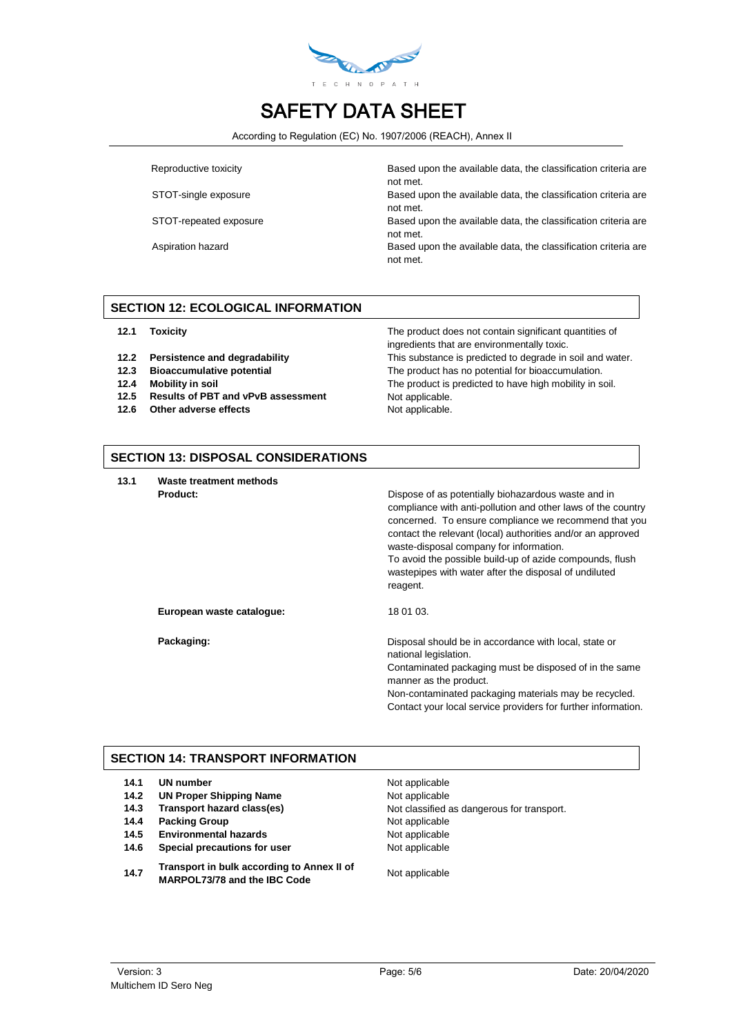

According to Regulation (EC) No. 1907/2006 (REACH), Annex II

Reproductive toxicity **Based upon the available data, the classification criteria are** not met.

STOT-single exposure Based upon the available data, the classification criteria are not met.

STOT-repeated exposure Based upon the available data, the classification criteria are not met.

Aspiration hazard **Based upon the available data, the classification criteria are Based upon the available data, the classification criteria are** not met.

# **SECTION 12: ECOLOGICAL INFORMATION**

- 
- 
- 
- **12.5 Results of PBT and vPvB assessment** Not applicable.
- **12.6** Other adverse effects Not applicable.

**12.1 Toxicity** The product does not contain significant quantities of ingredients that are environmentally toxic. **12.2 Persistence and degradability** This substance is predicted to degrade in soil and water. **12.3 Bioaccumulative potential** The product has no potential for bioaccumulation.<br>**12.4 Mobility in soil The product is predicted to have high mobility in s 12.4 Mobility in soil** The product is predicted to have high mobility in soil.

# **SECTION 13: DISPOSAL CONSIDERATIONS**

**13.1 Waste treatment methods**

| waste treatment methods   |                                                                                                                                                                                                                                                                                                                                                                                                                         |
|---------------------------|-------------------------------------------------------------------------------------------------------------------------------------------------------------------------------------------------------------------------------------------------------------------------------------------------------------------------------------------------------------------------------------------------------------------------|
| Product:                  | Dispose of as potentially biohazardous waste and in<br>compliance with anti-pollution and other laws of the country<br>concerned. To ensure compliance we recommend that you<br>contact the relevant (local) authorities and/or an approved<br>waste-disposal company for information.<br>To avoid the possible build-up of azide compounds, flush<br>wastepipes with water after the disposal of undiluted<br>reagent. |
| European waste cataloque: | 18 01 03.                                                                                                                                                                                                                                                                                                                                                                                                               |
| Packaging:                | Disposal should be in accordance with local, state or<br>national legislation.<br>$\bigcap$ contracts of a collection of a contract to a difference of our fields of the second                                                                                                                                                                                                                                         |

Contaminated packaging must be disposed of in the same manner as the product.

Non-contaminated packaging materials may be recycled. Contact your local service providers for further information.

# **SECTION 14: TRANSPORT INFORMATION**

| 14.1 | <b>UN number</b>               |
|------|--------------------------------|
| 14.2 | <b>UN Proper Shipping Name</b> |
| 14.3 | Transport hazard class(es)     |
| 14.4 | <b>Packing Group</b>           |
| 14.5 | <b>Environmental hazards</b>   |

- **14.6 Special precautions for user** Not applicable
- **14.7 Transport in bulk according to Annex II of MARPOL73/78 and the IBC Code**<br>MARPOL73/78 and the IBC Code

**Not applicable Not applicable** Not classified as dangerous for transport. **Not applicable Not applicable**